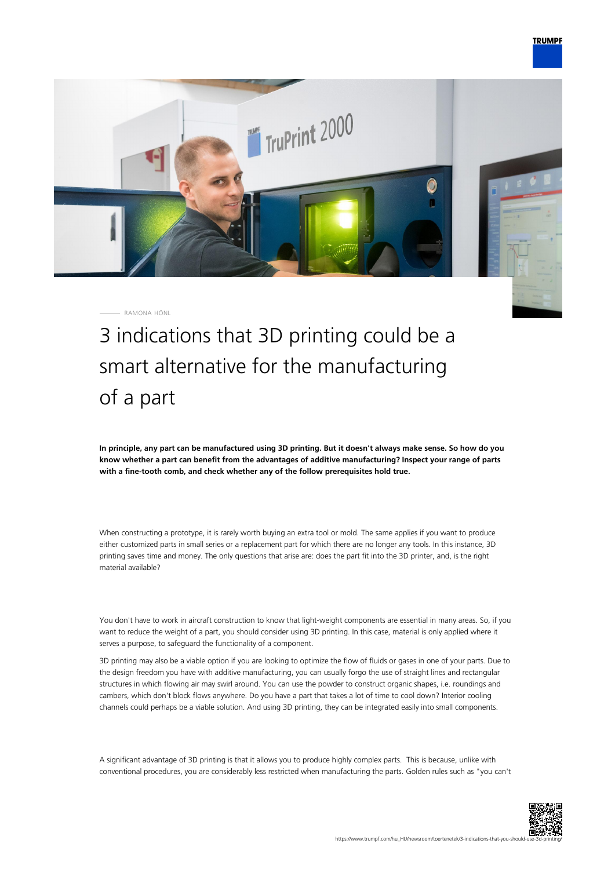

RAMONA HÖNL

3 indications that 3D printing could be a smart alternative for the manufacturing of a part

**In principle, any part can be manufactured using 3D printing. But it doesn't always make sense. So how do you know whether a part can benefit from the advantages of additive manufacturing? Inspect your range of parts with a fine-tooth comb, and check whether any of the follow prerequisites hold true.**

When constructing a prototype, it is rarely worth buying an extra tool or mold. The same applies if you want to produce either customized parts in small series or a replacement part for which there are no longer any tools. In this instance, 3D printing saves time and money. The only questions that arise are: does the part fit into the 3D printer, and, is the right material available?

You don't have to work in aircraft construction to know that light-weight components are essential in many areas. So, if you want to reduce the weight of a part, you should consider using 3D printing. In this case, material is only applied where it serves a purpose, to safeguard the functionality of a component.

3D printing may also be a viable option if you are looking to optimize the flow of fluids or gases in one of your parts. Due to the design freedom you have with additive manufacturing, you can usually forgo the use of straight lines and rectangular structures in which flowing air may swirl around. You can use the powder to construct organic shapes, i.e. roundings and cambers, which don't block flows anywhere. Do you have a part that takes a lot of time to cool down? Interior cooling channels could perhaps be a viable solution. And using 3D printing, they can be integrated easily into small components.

A significant advantage of 3D printing is that it allows you to produce highly complex parts. This is because, unlike with conventional procedures, you are considerably less restricted when manufacturing the parts. Golden rules such as "you can't